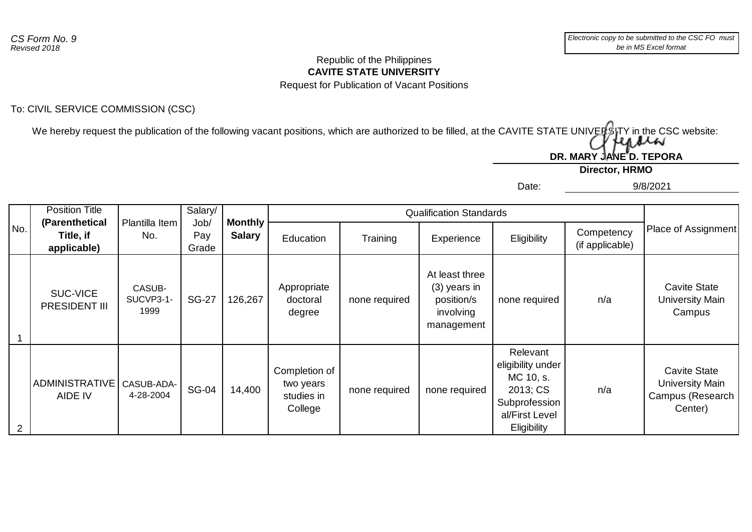#### **CAVITE STATE UNIVERSITY** Republic of the Philippines Request for Publication of Vacant Positions

## To: CIVIL SERVICE COMMISSION (CSC)

We hereby request the publication of the following vacant positions, which are authorized to be filled, at the CAVITE STATE UNIVERSITY in the CSC website:

**Director, HRMO** DR. MARY JANE<sup>"</sup>D. TEPORA

Date:

9/8/2021

| No.            | <b>Position Title</b>                      |                             | Salary/<br>Job/<br>Pay<br>Grade | <b>Monthly</b><br><b>Salary</b> | <b>Qualification Standards</b>                      |               |                                                                           |                                                                                                          |                               |                                                                              |
|----------------|--------------------------------------------|-----------------------------|---------------------------------|---------------------------------|-----------------------------------------------------|---------------|---------------------------------------------------------------------------|----------------------------------------------------------------------------------------------------------|-------------------------------|------------------------------------------------------------------------------|
|                | (Parenthetical<br>Title, if<br>applicable) | Plantilla Item<br>No.       |                                 |                                 | Education                                           | Training      | Experience                                                                | Eligibility                                                                                              | Competency<br>(if applicable) | Place of Assignment                                                          |
|                | <b>SUC-VICE</b><br><b>PRESIDENT III</b>    | CASUB-<br>SUCVP3-1-<br>1999 | <b>SG-27</b>                    | 126,267                         | Appropriate<br>doctoral<br>degree                   | none required | At least three<br>$(3)$ years in<br>position/s<br>involving<br>management | none required                                                                                            | n/a                           | <b>Cavite State</b><br>University Main<br>Campus                             |
| $\overline{2}$ | <b>ADMINISTRATIVE</b><br>AIDE IV           | CASUB-ADA-<br>4-28-2004     | <b>SG-04</b>                    | 14,400                          | Completion of<br>two years<br>studies in<br>College | none required | none required                                                             | Relevant<br>eligibility under<br>MC 10, s.<br>2013; CS<br>Subprofession<br>al/First Level<br>Eligibility | n/a                           | <b>Cavite State</b><br><b>University Main</b><br>Campus (Research<br>Center) |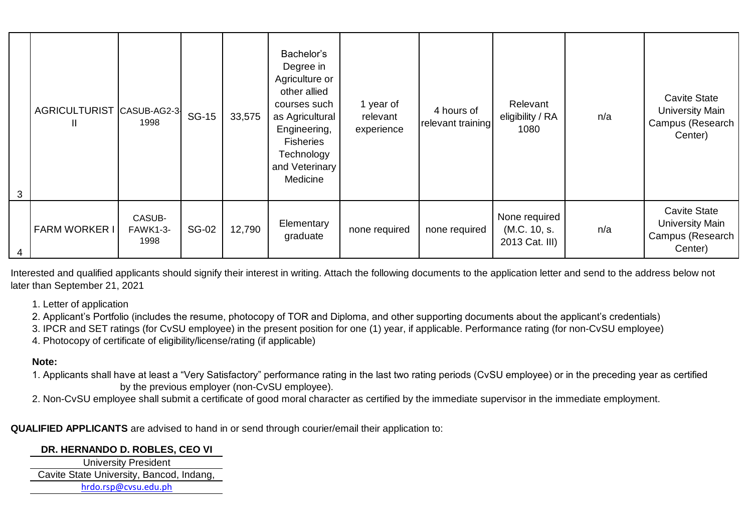| 3 | AGRICULTURIST CASUB-AG2-3<br>Ш | 1998                              | <b>SG-15</b> | 33,575 | Bachelor's<br>Degree in<br>Agriculture or<br>other allied<br>courses such<br>as Agricultural<br>Engineering,<br><b>Fisheries</b><br>Technology<br>and Veterinary<br>Medicine | 1 year of<br>relevant<br>experience | 4 hours of<br>relevant training | Relevant<br>eligibility / RA<br>1080            | n/a | <b>Cavite State</b><br><b>University Main</b><br>Campus (Research<br>Center) |
|---|--------------------------------|-----------------------------------|--------------|--------|------------------------------------------------------------------------------------------------------------------------------------------------------------------------------|-------------------------------------|---------------------------------|-------------------------------------------------|-----|------------------------------------------------------------------------------|
| 4 | <b>FARM WORKER I</b>           | CASUB-<br><b>FAWK1-3-</b><br>1998 | <b>SG-02</b> | 12,790 | Elementary<br>graduate                                                                                                                                                       | none required                       | none required                   | None required<br>(M.C. 10, s.<br>2013 Cat. III) | n/a | <b>Cavite State</b><br><b>University Main</b><br>Campus (Research<br>Center) |

Interested and qualified applicants should signify their interest in writing. Attach the following documents to the application letter and send to the address below not later than September 21, 2021

1. Letter of application

2. Applicant's Portfolio (includes the resume, photocopy of TOR and Diploma, and other supporting documents about the applicant's credentials)

3. IPCR and SET ratings (for CvSU employee) in the present position for one (1) year, if applicable. Performance rating (for non-CvSU employee)

4. Photocopy of certificate of eligibility/license/rating (if applicable)

### **Note:**

- 1. Applicants shall have at least a "Very Satisfactory" performance rating in the last two rating periods (CvSU employee) or in the preceding year as certified by the previous employer (non-CvSU employee).
- 2. Non-CvSU employee shall submit a certificate of good moral character as certified by the immediate supervisor in the immediate employment.

**QUALIFIED APPLICANTS** are advised to hand in or send through courier/email their application to:

### **DR. HERNANDO D. ROBLES, CEO VI**

University President Cavite State University, Bancod, Indang, hrdo.rsp@cvsu.edu.ph